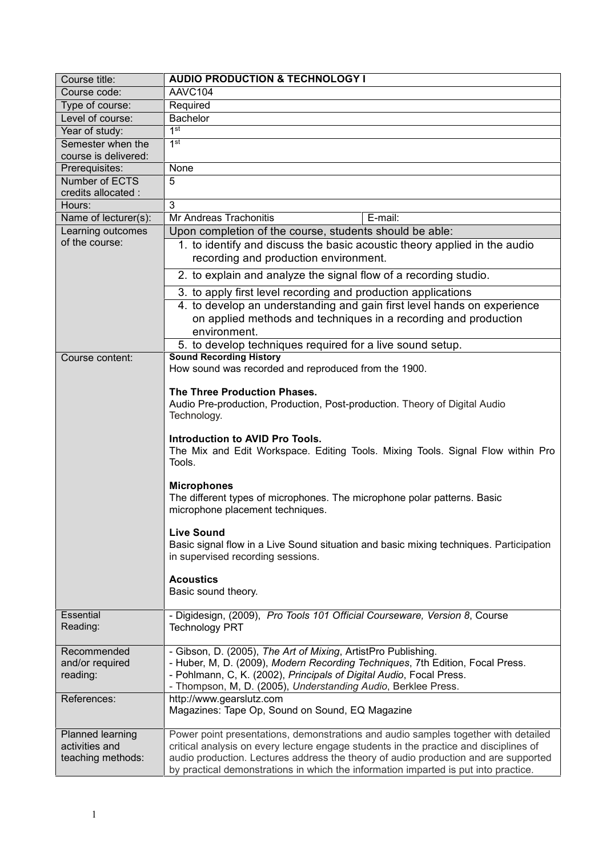| Course code:<br>AAVC104<br>Type of course:<br>Required<br>Level of course:<br>Bachelor<br>1 <sup>st</sup><br>Year of study:<br>1 <sup>st</sup><br>Semester when the<br>course is delivered:<br>None<br>Prerequisites:<br>5<br>Number of ECTS<br>credits allocated :<br>3<br>Hours:<br>Mr Andreas Trachonitis<br>E-mail:<br>Name of lecturer(s):<br>Learning outcomes<br>Upon completion of the course, students should be able:<br>of the course:<br>1. to identify and discuss the basic acoustic theory applied in the audio<br>recording and production environment.<br>2. to explain and analyze the signal flow of a recording studio.<br>3. to apply first level recording and production applications<br>4. to develop an understanding and gain first level hands on experience<br>on applied methods and techniques in a recording and production<br>environment.<br>5. to develop techniques required for a live sound setup.<br><b>Sound Recording History</b><br>Course content:<br>How sound was recorded and reproduced from the 1900.<br>The Three Production Phases.<br>Audio Pre-production, Production, Post-production. Theory of Digital Audio<br>Technology.<br>Introduction to AVID Pro Tools.<br>The Mix and Edit Workspace. Editing Tools. Mixing Tools. Signal Flow within Pro<br>Tools.<br><b>Microphones</b><br>The different types of microphones. The microphone polar patterns. Basic<br>microphone placement techniques.<br><b>Live Sound</b><br>Basic signal flow in a Live Sound situation and basic mixing techniques. Participation<br>in supervised recording sessions.<br><b>Acoustics</b><br>Basic sound theory.<br>Essential<br>- Digidesign, (2009), Pro Tools 101 Official Courseware, Version 8, Course<br>Reading:<br><b>Technology PRT</b><br>- Gibson, D. (2005), The Art of Mixing, ArtistPro Publishing.<br>Recommended<br>- Huber, M, D. (2009), Modern Recording Techniques, 7th Edition, Focal Press.<br>and/or required<br>- Pohlmann, C, K. (2002), Principals of Digital Audio, Focal Press.<br>reading:<br>- Thompson, M, D. (2005), Understanding Audio, Berklee Press.<br>http://www.gearslutz.com<br>References:<br>Magazines: Tape Op, Sound on Sound, EQ Magazine<br>Planned learning<br>Power point presentations, demonstrations and audio samples together with detailed<br>activities and<br>critical analysis on every lecture engage students in the practice and disciplines of<br>audio production. Lectures address the theory of audio production and are supported<br>teaching methods: | Course title: | <b>AUDIO PRODUCTION &amp; TECHNOLOGY I</b>                                          |
|---------------------------------------------------------------------------------------------------------------------------------------------------------------------------------------------------------------------------------------------------------------------------------------------------------------------------------------------------------------------------------------------------------------------------------------------------------------------------------------------------------------------------------------------------------------------------------------------------------------------------------------------------------------------------------------------------------------------------------------------------------------------------------------------------------------------------------------------------------------------------------------------------------------------------------------------------------------------------------------------------------------------------------------------------------------------------------------------------------------------------------------------------------------------------------------------------------------------------------------------------------------------------------------------------------------------------------------------------------------------------------------------------------------------------------------------------------------------------------------------------------------------------------------------------------------------------------------------------------------------------------------------------------------------------------------------------------------------------------------------------------------------------------------------------------------------------------------------------------------------------------------------------------------------------------------------------------------------------------------------------------------------------------------------------------------------------------------------------------------------------------------------------------------------------------------------------------------------------------------------------------------------------------------------------------------------------------------------------------------------------------------------------------------------------------------------------------------------------------------------------------------------------------------------------------------|---------------|-------------------------------------------------------------------------------------|
|                                                                                                                                                                                                                                                                                                                                                                                                                                                                                                                                                                                                                                                                                                                                                                                                                                                                                                                                                                                                                                                                                                                                                                                                                                                                                                                                                                                                                                                                                                                                                                                                                                                                                                                                                                                                                                                                                                                                                                                                                                                                                                                                                                                                                                                                                                                                                                                                                                                                                                                                                               |               |                                                                                     |
|                                                                                                                                                                                                                                                                                                                                                                                                                                                                                                                                                                                                                                                                                                                                                                                                                                                                                                                                                                                                                                                                                                                                                                                                                                                                                                                                                                                                                                                                                                                                                                                                                                                                                                                                                                                                                                                                                                                                                                                                                                                                                                                                                                                                                                                                                                                                                                                                                                                                                                                                                               |               |                                                                                     |
|                                                                                                                                                                                                                                                                                                                                                                                                                                                                                                                                                                                                                                                                                                                                                                                                                                                                                                                                                                                                                                                                                                                                                                                                                                                                                                                                                                                                                                                                                                                                                                                                                                                                                                                                                                                                                                                                                                                                                                                                                                                                                                                                                                                                                                                                                                                                                                                                                                                                                                                                                               |               |                                                                                     |
|                                                                                                                                                                                                                                                                                                                                                                                                                                                                                                                                                                                                                                                                                                                                                                                                                                                                                                                                                                                                                                                                                                                                                                                                                                                                                                                                                                                                                                                                                                                                                                                                                                                                                                                                                                                                                                                                                                                                                                                                                                                                                                                                                                                                                                                                                                                                                                                                                                                                                                                                                               |               |                                                                                     |
|                                                                                                                                                                                                                                                                                                                                                                                                                                                                                                                                                                                                                                                                                                                                                                                                                                                                                                                                                                                                                                                                                                                                                                                                                                                                                                                                                                                                                                                                                                                                                                                                                                                                                                                                                                                                                                                                                                                                                                                                                                                                                                                                                                                                                                                                                                                                                                                                                                                                                                                                                               |               |                                                                                     |
|                                                                                                                                                                                                                                                                                                                                                                                                                                                                                                                                                                                                                                                                                                                                                                                                                                                                                                                                                                                                                                                                                                                                                                                                                                                                                                                                                                                                                                                                                                                                                                                                                                                                                                                                                                                                                                                                                                                                                                                                                                                                                                                                                                                                                                                                                                                                                                                                                                                                                                                                                               |               |                                                                                     |
|                                                                                                                                                                                                                                                                                                                                                                                                                                                                                                                                                                                                                                                                                                                                                                                                                                                                                                                                                                                                                                                                                                                                                                                                                                                                                                                                                                                                                                                                                                                                                                                                                                                                                                                                                                                                                                                                                                                                                                                                                                                                                                                                                                                                                                                                                                                                                                                                                                                                                                                                                               |               |                                                                                     |
|                                                                                                                                                                                                                                                                                                                                                                                                                                                                                                                                                                                                                                                                                                                                                                                                                                                                                                                                                                                                                                                                                                                                                                                                                                                                                                                                                                                                                                                                                                                                                                                                                                                                                                                                                                                                                                                                                                                                                                                                                                                                                                                                                                                                                                                                                                                                                                                                                                                                                                                                                               |               |                                                                                     |
|                                                                                                                                                                                                                                                                                                                                                                                                                                                                                                                                                                                                                                                                                                                                                                                                                                                                                                                                                                                                                                                                                                                                                                                                                                                                                                                                                                                                                                                                                                                                                                                                                                                                                                                                                                                                                                                                                                                                                                                                                                                                                                                                                                                                                                                                                                                                                                                                                                                                                                                                                               |               |                                                                                     |
|                                                                                                                                                                                                                                                                                                                                                                                                                                                                                                                                                                                                                                                                                                                                                                                                                                                                                                                                                                                                                                                                                                                                                                                                                                                                                                                                                                                                                                                                                                                                                                                                                                                                                                                                                                                                                                                                                                                                                                                                                                                                                                                                                                                                                                                                                                                                                                                                                                                                                                                                                               |               |                                                                                     |
|                                                                                                                                                                                                                                                                                                                                                                                                                                                                                                                                                                                                                                                                                                                                                                                                                                                                                                                                                                                                                                                                                                                                                                                                                                                                                                                                                                                                                                                                                                                                                                                                                                                                                                                                                                                                                                                                                                                                                                                                                                                                                                                                                                                                                                                                                                                                                                                                                                                                                                                                                               |               |                                                                                     |
|                                                                                                                                                                                                                                                                                                                                                                                                                                                                                                                                                                                                                                                                                                                                                                                                                                                                                                                                                                                                                                                                                                                                                                                                                                                                                                                                                                                                                                                                                                                                                                                                                                                                                                                                                                                                                                                                                                                                                                                                                                                                                                                                                                                                                                                                                                                                                                                                                                                                                                                                                               |               |                                                                                     |
|                                                                                                                                                                                                                                                                                                                                                                                                                                                                                                                                                                                                                                                                                                                                                                                                                                                                                                                                                                                                                                                                                                                                                                                                                                                                                                                                                                                                                                                                                                                                                                                                                                                                                                                                                                                                                                                                                                                                                                                                                                                                                                                                                                                                                                                                                                                                                                                                                                                                                                                                                               |               |                                                                                     |
|                                                                                                                                                                                                                                                                                                                                                                                                                                                                                                                                                                                                                                                                                                                                                                                                                                                                                                                                                                                                                                                                                                                                                                                                                                                                                                                                                                                                                                                                                                                                                                                                                                                                                                                                                                                                                                                                                                                                                                                                                                                                                                                                                                                                                                                                                                                                                                                                                                                                                                                                                               |               |                                                                                     |
|                                                                                                                                                                                                                                                                                                                                                                                                                                                                                                                                                                                                                                                                                                                                                                                                                                                                                                                                                                                                                                                                                                                                                                                                                                                                                                                                                                                                                                                                                                                                                                                                                                                                                                                                                                                                                                                                                                                                                                                                                                                                                                                                                                                                                                                                                                                                                                                                                                                                                                                                                               |               |                                                                                     |
|                                                                                                                                                                                                                                                                                                                                                                                                                                                                                                                                                                                                                                                                                                                                                                                                                                                                                                                                                                                                                                                                                                                                                                                                                                                                                                                                                                                                                                                                                                                                                                                                                                                                                                                                                                                                                                                                                                                                                                                                                                                                                                                                                                                                                                                                                                                                                                                                                                                                                                                                                               |               |                                                                                     |
|                                                                                                                                                                                                                                                                                                                                                                                                                                                                                                                                                                                                                                                                                                                                                                                                                                                                                                                                                                                                                                                                                                                                                                                                                                                                                                                                                                                                                                                                                                                                                                                                                                                                                                                                                                                                                                                                                                                                                                                                                                                                                                                                                                                                                                                                                                                                                                                                                                                                                                                                                               |               |                                                                                     |
|                                                                                                                                                                                                                                                                                                                                                                                                                                                                                                                                                                                                                                                                                                                                                                                                                                                                                                                                                                                                                                                                                                                                                                                                                                                                                                                                                                                                                                                                                                                                                                                                                                                                                                                                                                                                                                                                                                                                                                                                                                                                                                                                                                                                                                                                                                                                                                                                                                                                                                                                                               |               |                                                                                     |
|                                                                                                                                                                                                                                                                                                                                                                                                                                                                                                                                                                                                                                                                                                                                                                                                                                                                                                                                                                                                                                                                                                                                                                                                                                                                                                                                                                                                                                                                                                                                                                                                                                                                                                                                                                                                                                                                                                                                                                                                                                                                                                                                                                                                                                                                                                                                                                                                                                                                                                                                                               |               |                                                                                     |
|                                                                                                                                                                                                                                                                                                                                                                                                                                                                                                                                                                                                                                                                                                                                                                                                                                                                                                                                                                                                                                                                                                                                                                                                                                                                                                                                                                                                                                                                                                                                                                                                                                                                                                                                                                                                                                                                                                                                                                                                                                                                                                                                                                                                                                                                                                                                                                                                                                                                                                                                                               |               |                                                                                     |
|                                                                                                                                                                                                                                                                                                                                                                                                                                                                                                                                                                                                                                                                                                                                                                                                                                                                                                                                                                                                                                                                                                                                                                                                                                                                                                                                                                                                                                                                                                                                                                                                                                                                                                                                                                                                                                                                                                                                                                                                                                                                                                                                                                                                                                                                                                                                                                                                                                                                                                                                                               |               |                                                                                     |
|                                                                                                                                                                                                                                                                                                                                                                                                                                                                                                                                                                                                                                                                                                                                                                                                                                                                                                                                                                                                                                                                                                                                                                                                                                                                                                                                                                                                                                                                                                                                                                                                                                                                                                                                                                                                                                                                                                                                                                                                                                                                                                                                                                                                                                                                                                                                                                                                                                                                                                                                                               |               |                                                                                     |
|                                                                                                                                                                                                                                                                                                                                                                                                                                                                                                                                                                                                                                                                                                                                                                                                                                                                                                                                                                                                                                                                                                                                                                                                                                                                                                                                                                                                                                                                                                                                                                                                                                                                                                                                                                                                                                                                                                                                                                                                                                                                                                                                                                                                                                                                                                                                                                                                                                                                                                                                                               |               |                                                                                     |
|                                                                                                                                                                                                                                                                                                                                                                                                                                                                                                                                                                                                                                                                                                                                                                                                                                                                                                                                                                                                                                                                                                                                                                                                                                                                                                                                                                                                                                                                                                                                                                                                                                                                                                                                                                                                                                                                                                                                                                                                                                                                                                                                                                                                                                                                                                                                                                                                                                                                                                                                                               |               |                                                                                     |
|                                                                                                                                                                                                                                                                                                                                                                                                                                                                                                                                                                                                                                                                                                                                                                                                                                                                                                                                                                                                                                                                                                                                                                                                                                                                                                                                                                                                                                                                                                                                                                                                                                                                                                                                                                                                                                                                                                                                                                                                                                                                                                                                                                                                                                                                                                                                                                                                                                                                                                                                                               |               |                                                                                     |
|                                                                                                                                                                                                                                                                                                                                                                                                                                                                                                                                                                                                                                                                                                                                                                                                                                                                                                                                                                                                                                                                                                                                                                                                                                                                                                                                                                                                                                                                                                                                                                                                                                                                                                                                                                                                                                                                                                                                                                                                                                                                                                                                                                                                                                                                                                                                                                                                                                                                                                                                                               |               |                                                                                     |
|                                                                                                                                                                                                                                                                                                                                                                                                                                                                                                                                                                                                                                                                                                                                                                                                                                                                                                                                                                                                                                                                                                                                                                                                                                                                                                                                                                                                                                                                                                                                                                                                                                                                                                                                                                                                                                                                                                                                                                                                                                                                                                                                                                                                                                                                                                                                                                                                                                                                                                                                                               |               |                                                                                     |
|                                                                                                                                                                                                                                                                                                                                                                                                                                                                                                                                                                                                                                                                                                                                                                                                                                                                                                                                                                                                                                                                                                                                                                                                                                                                                                                                                                                                                                                                                                                                                                                                                                                                                                                                                                                                                                                                                                                                                                                                                                                                                                                                                                                                                                                                                                                                                                                                                                                                                                                                                               |               |                                                                                     |
|                                                                                                                                                                                                                                                                                                                                                                                                                                                                                                                                                                                                                                                                                                                                                                                                                                                                                                                                                                                                                                                                                                                                                                                                                                                                                                                                                                                                                                                                                                                                                                                                                                                                                                                                                                                                                                                                                                                                                                                                                                                                                                                                                                                                                                                                                                                                                                                                                                                                                                                                                               |               |                                                                                     |
|                                                                                                                                                                                                                                                                                                                                                                                                                                                                                                                                                                                                                                                                                                                                                                                                                                                                                                                                                                                                                                                                                                                                                                                                                                                                                                                                                                                                                                                                                                                                                                                                                                                                                                                                                                                                                                                                                                                                                                                                                                                                                                                                                                                                                                                                                                                                                                                                                                                                                                                                                               |               |                                                                                     |
|                                                                                                                                                                                                                                                                                                                                                                                                                                                                                                                                                                                                                                                                                                                                                                                                                                                                                                                                                                                                                                                                                                                                                                                                                                                                                                                                                                                                                                                                                                                                                                                                                                                                                                                                                                                                                                                                                                                                                                                                                                                                                                                                                                                                                                                                                                                                                                                                                                                                                                                                                               |               |                                                                                     |
|                                                                                                                                                                                                                                                                                                                                                                                                                                                                                                                                                                                                                                                                                                                                                                                                                                                                                                                                                                                                                                                                                                                                                                                                                                                                                                                                                                                                                                                                                                                                                                                                                                                                                                                                                                                                                                                                                                                                                                                                                                                                                                                                                                                                                                                                                                                                                                                                                                                                                                                                                               |               |                                                                                     |
|                                                                                                                                                                                                                                                                                                                                                                                                                                                                                                                                                                                                                                                                                                                                                                                                                                                                                                                                                                                                                                                                                                                                                                                                                                                                                                                                                                                                                                                                                                                                                                                                                                                                                                                                                                                                                                                                                                                                                                                                                                                                                                                                                                                                                                                                                                                                                                                                                                                                                                                                                               |               |                                                                                     |
|                                                                                                                                                                                                                                                                                                                                                                                                                                                                                                                                                                                                                                                                                                                                                                                                                                                                                                                                                                                                                                                                                                                                                                                                                                                                                                                                                                                                                                                                                                                                                                                                                                                                                                                                                                                                                                                                                                                                                                                                                                                                                                                                                                                                                                                                                                                                                                                                                                                                                                                                                               |               |                                                                                     |
|                                                                                                                                                                                                                                                                                                                                                                                                                                                                                                                                                                                                                                                                                                                                                                                                                                                                                                                                                                                                                                                                                                                                                                                                                                                                                                                                                                                                                                                                                                                                                                                                                                                                                                                                                                                                                                                                                                                                                                                                                                                                                                                                                                                                                                                                                                                                                                                                                                                                                                                                                               |               |                                                                                     |
|                                                                                                                                                                                                                                                                                                                                                                                                                                                                                                                                                                                                                                                                                                                                                                                                                                                                                                                                                                                                                                                                                                                                                                                                                                                                                                                                                                                                                                                                                                                                                                                                                                                                                                                                                                                                                                                                                                                                                                                                                                                                                                                                                                                                                                                                                                                                                                                                                                                                                                                                                               |               |                                                                                     |
|                                                                                                                                                                                                                                                                                                                                                                                                                                                                                                                                                                                                                                                                                                                                                                                                                                                                                                                                                                                                                                                                                                                                                                                                                                                                                                                                                                                                                                                                                                                                                                                                                                                                                                                                                                                                                                                                                                                                                                                                                                                                                                                                                                                                                                                                                                                                                                                                                                                                                                                                                               |               |                                                                                     |
|                                                                                                                                                                                                                                                                                                                                                                                                                                                                                                                                                                                                                                                                                                                                                                                                                                                                                                                                                                                                                                                                                                                                                                                                                                                                                                                                                                                                                                                                                                                                                                                                                                                                                                                                                                                                                                                                                                                                                                                                                                                                                                                                                                                                                                                                                                                                                                                                                                                                                                                                                               |               |                                                                                     |
|                                                                                                                                                                                                                                                                                                                                                                                                                                                                                                                                                                                                                                                                                                                                                                                                                                                                                                                                                                                                                                                                                                                                                                                                                                                                                                                                                                                                                                                                                                                                                                                                                                                                                                                                                                                                                                                                                                                                                                                                                                                                                                                                                                                                                                                                                                                                                                                                                                                                                                                                                               |               |                                                                                     |
|                                                                                                                                                                                                                                                                                                                                                                                                                                                                                                                                                                                                                                                                                                                                                                                                                                                                                                                                                                                                                                                                                                                                                                                                                                                                                                                                                                                                                                                                                                                                                                                                                                                                                                                                                                                                                                                                                                                                                                                                                                                                                                                                                                                                                                                                                                                                                                                                                                                                                                                                                               |               |                                                                                     |
|                                                                                                                                                                                                                                                                                                                                                                                                                                                                                                                                                                                                                                                                                                                                                                                                                                                                                                                                                                                                                                                                                                                                                                                                                                                                                                                                                                                                                                                                                                                                                                                                                                                                                                                                                                                                                                                                                                                                                                                                                                                                                                                                                                                                                                                                                                                                                                                                                                                                                                                                                               |               |                                                                                     |
|                                                                                                                                                                                                                                                                                                                                                                                                                                                                                                                                                                                                                                                                                                                                                                                                                                                                                                                                                                                                                                                                                                                                                                                                                                                                                                                                                                                                                                                                                                                                                                                                                                                                                                                                                                                                                                                                                                                                                                                                                                                                                                                                                                                                                                                                                                                                                                                                                                                                                                                                                               |               |                                                                                     |
|                                                                                                                                                                                                                                                                                                                                                                                                                                                                                                                                                                                                                                                                                                                                                                                                                                                                                                                                                                                                                                                                                                                                                                                                                                                                                                                                                                                                                                                                                                                                                                                                                                                                                                                                                                                                                                                                                                                                                                                                                                                                                                                                                                                                                                                                                                                                                                                                                                                                                                                                                               |               |                                                                                     |
|                                                                                                                                                                                                                                                                                                                                                                                                                                                                                                                                                                                                                                                                                                                                                                                                                                                                                                                                                                                                                                                                                                                                                                                                                                                                                                                                                                                                                                                                                                                                                                                                                                                                                                                                                                                                                                                                                                                                                                                                                                                                                                                                                                                                                                                                                                                                                                                                                                                                                                                                                               |               |                                                                                     |
|                                                                                                                                                                                                                                                                                                                                                                                                                                                                                                                                                                                                                                                                                                                                                                                                                                                                                                                                                                                                                                                                                                                                                                                                                                                                                                                                                                                                                                                                                                                                                                                                                                                                                                                                                                                                                                                                                                                                                                                                                                                                                                                                                                                                                                                                                                                                                                                                                                                                                                                                                               |               |                                                                                     |
|                                                                                                                                                                                                                                                                                                                                                                                                                                                                                                                                                                                                                                                                                                                                                                                                                                                                                                                                                                                                                                                                                                                                                                                                                                                                                                                                                                                                                                                                                                                                                                                                                                                                                                                                                                                                                                                                                                                                                                                                                                                                                                                                                                                                                                                                                                                                                                                                                                                                                                                                                               |               |                                                                                     |
|                                                                                                                                                                                                                                                                                                                                                                                                                                                                                                                                                                                                                                                                                                                                                                                                                                                                                                                                                                                                                                                                                                                                                                                                                                                                                                                                                                                                                                                                                                                                                                                                                                                                                                                                                                                                                                                                                                                                                                                                                                                                                                                                                                                                                                                                                                                                                                                                                                                                                                                                                               |               |                                                                                     |
|                                                                                                                                                                                                                                                                                                                                                                                                                                                                                                                                                                                                                                                                                                                                                                                                                                                                                                                                                                                                                                                                                                                                                                                                                                                                                                                                                                                                                                                                                                                                                                                                                                                                                                                                                                                                                                                                                                                                                                                                                                                                                                                                                                                                                                                                                                                                                                                                                                                                                                                                                               |               |                                                                                     |
|                                                                                                                                                                                                                                                                                                                                                                                                                                                                                                                                                                                                                                                                                                                                                                                                                                                                                                                                                                                                                                                                                                                                                                                                                                                                                                                                                                                                                                                                                                                                                                                                                                                                                                                                                                                                                                                                                                                                                                                                                                                                                                                                                                                                                                                                                                                                                                                                                                                                                                                                                               |               |                                                                                     |
|                                                                                                                                                                                                                                                                                                                                                                                                                                                                                                                                                                                                                                                                                                                                                                                                                                                                                                                                                                                                                                                                                                                                                                                                                                                                                                                                                                                                                                                                                                                                                                                                                                                                                                                                                                                                                                                                                                                                                                                                                                                                                                                                                                                                                                                                                                                                                                                                                                                                                                                                                               |               |                                                                                     |
|                                                                                                                                                                                                                                                                                                                                                                                                                                                                                                                                                                                                                                                                                                                                                                                                                                                                                                                                                                                                                                                                                                                                                                                                                                                                                                                                                                                                                                                                                                                                                                                                                                                                                                                                                                                                                                                                                                                                                                                                                                                                                                                                                                                                                                                                                                                                                                                                                                                                                                                                                               |               | by practical demonstrations in which the information imparted is put into practice. |